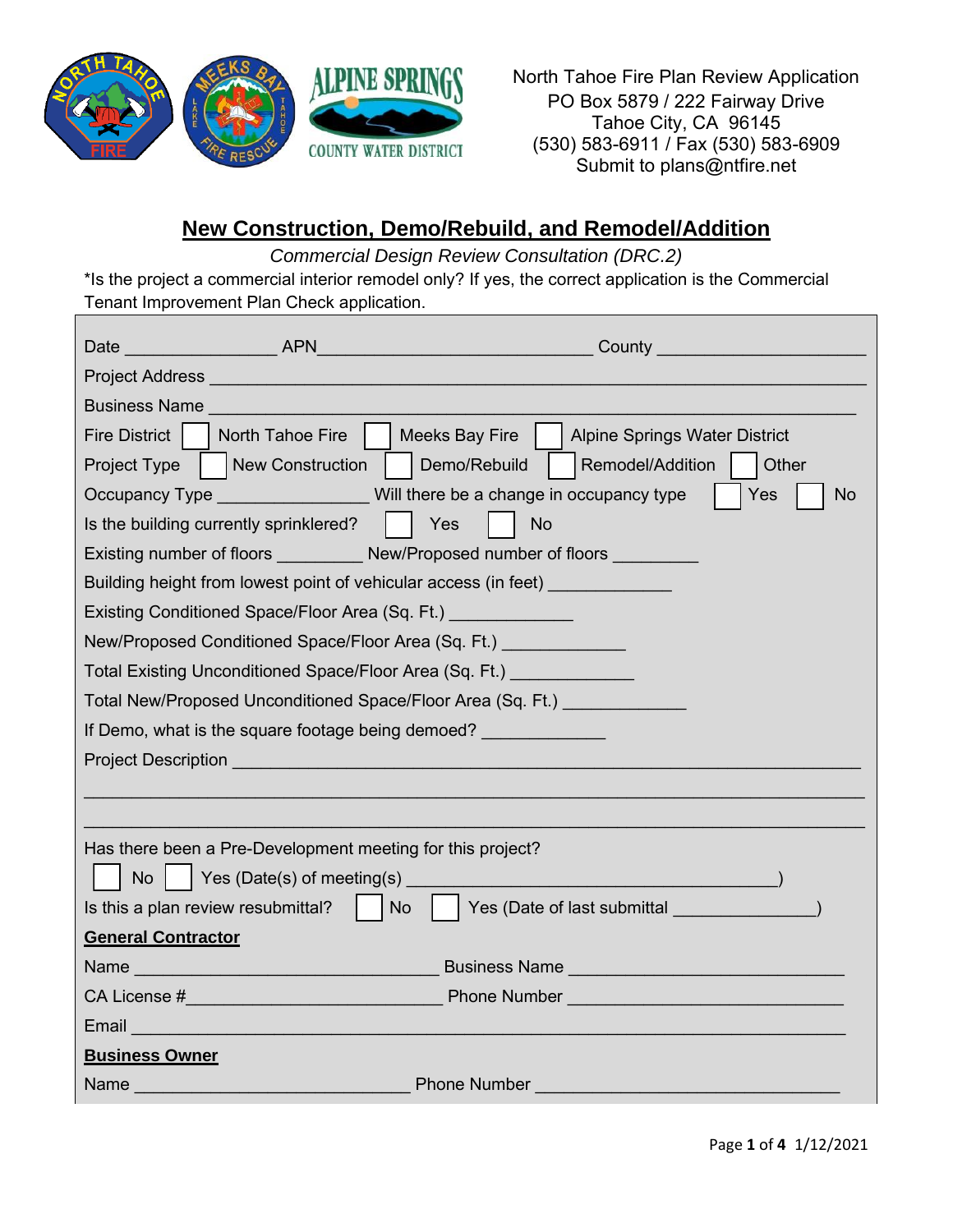

North Tahoe Fire Plan Review Application PO Box 5879 / 222 Fairway Drive Tahoe City, CA 96145 (530) 583-6911 / Fax (530) 583-6909 Submit to plans@ntfire.net

## **New Construction, Demo/Rebuild, and Remodel/Addition**

*Commercial Design Review Consultation (DRC.2)*

\*Is the project a commercial interior remodel only? If yes, the correct application is the Commercial Tenant Improvement Plan Check application.

|                                                                                                                                                                                                                                                                                                                                                           | Date APN APN                                                                                                                                                                                                                         | County <u>____________________</u>                                               |  |  |  |  |  |  |
|-----------------------------------------------------------------------------------------------------------------------------------------------------------------------------------------------------------------------------------------------------------------------------------------------------------------------------------------------------------|--------------------------------------------------------------------------------------------------------------------------------------------------------------------------------------------------------------------------------------|----------------------------------------------------------------------------------|--|--|--|--|--|--|
|                                                                                                                                                                                                                                                                                                                                                           | Project Address New York Change and Change and Change and Change and Change and Change and Change and Change and Change and Change and Change and Change and Change and Change and Change and Change and Change and Change and       |                                                                                  |  |  |  |  |  |  |
| <b>Business Name</b>                                                                                                                                                                                                                                                                                                                                      |                                                                                                                                                                                                                                      |                                                                                  |  |  |  |  |  |  |
| Fire District  <br>Meeks Bay Fire<br><b>Alpine Springs Water District</b><br>North Tahoe Fire                                                                                                                                                                                                                                                             |                                                                                                                                                                                                                                      |                                                                                  |  |  |  |  |  |  |
| <b>Project Type</b>                                                                                                                                                                                                                                                                                                                                       | New Construction                                                                                                                                                                                                                     | Demo/Rebuild<br>Remodel/Addition<br>Other                                        |  |  |  |  |  |  |
|                                                                                                                                                                                                                                                                                                                                                           |                                                                                                                                                                                                                                      | Occupancy Type Will there be a change in occupancy type<br>Yes<br><b>No</b>      |  |  |  |  |  |  |
| Is the building currently sprinklered?<br>Yes<br><b>No</b>                                                                                                                                                                                                                                                                                                |                                                                                                                                                                                                                                      |                                                                                  |  |  |  |  |  |  |
|                                                                                                                                                                                                                                                                                                                                                           | Existing number of floors New/Proposed number of floors                                                                                                                                                                              |                                                                                  |  |  |  |  |  |  |
|                                                                                                                                                                                                                                                                                                                                                           |                                                                                                                                                                                                                                      | Building height from lowest point of vehicular access (in feet) ________________ |  |  |  |  |  |  |
|                                                                                                                                                                                                                                                                                                                                                           | Existing Conditioned Space/Floor Area (Sq. Ft.)                                                                                                                                                                                      |                                                                                  |  |  |  |  |  |  |
| New/Proposed Conditioned Space/Floor Area (Sq. Ft.)                                                                                                                                                                                                                                                                                                       |                                                                                                                                                                                                                                      |                                                                                  |  |  |  |  |  |  |
|                                                                                                                                                                                                                                                                                                                                                           | Total Existing Unconditioned Space/Floor Area (Sq. Ft.)                                                                                                                                                                              |                                                                                  |  |  |  |  |  |  |
|                                                                                                                                                                                                                                                                                                                                                           |                                                                                                                                                                                                                                      | Total New/Proposed Unconditioned Space/Floor Area (Sq. Ft.)                      |  |  |  |  |  |  |
|                                                                                                                                                                                                                                                                                                                                                           | If Demo, what is the square footage being demoed?                                                                                                                                                                                    |                                                                                  |  |  |  |  |  |  |
| <b>Project Description And Alternative Contract Contract Contract Contract Contract Contract Contract Contract Co</b>                                                                                                                                                                                                                                     |                                                                                                                                                                                                                                      |                                                                                  |  |  |  |  |  |  |
|                                                                                                                                                                                                                                                                                                                                                           |                                                                                                                                                                                                                                      |                                                                                  |  |  |  |  |  |  |
|                                                                                                                                                                                                                                                                                                                                                           |                                                                                                                                                                                                                                      |                                                                                  |  |  |  |  |  |  |
|                                                                                                                                                                                                                                                                                                                                                           | Has there been a Pre-Development meeting for this project?                                                                                                                                                                           |                                                                                  |  |  |  |  |  |  |
| $\mathsf{No}$   Yes (Date(s) of meeting(s)                                                                                                                                                                                                                                                                                                                |                                                                                                                                                                                                                                      |                                                                                  |  |  |  |  |  |  |
|                                                                                                                                                                                                                                                                                                                                                           | Is this a plan review resubmittal?<br><b>No</b>                                                                                                                                                                                      | Yes (Date of last submittal and the control of the state of last submittal       |  |  |  |  |  |  |
| <b>General Contractor</b>                                                                                                                                                                                                                                                                                                                                 |                                                                                                                                                                                                                                      |                                                                                  |  |  |  |  |  |  |
|                                                                                                                                                                                                                                                                                                                                                           |                                                                                                                                                                                                                                      |                                                                                  |  |  |  |  |  |  |
|                                                                                                                                                                                                                                                                                                                                                           |                                                                                                                                                                                                                                      |                                                                                  |  |  |  |  |  |  |
|                                                                                                                                                                                                                                                                                                                                                           | Email <u>Design and Design and Design and Design and Design and Design and Design and Design and Design and Design and Design and Design and Design and Design and Design and Design and Design and Design and Design and Design</u> |                                                                                  |  |  |  |  |  |  |
| <b>Business Owner</b>                                                                                                                                                                                                                                                                                                                                     |                                                                                                                                                                                                                                      |                                                                                  |  |  |  |  |  |  |
| <b>Phone Number and Service Service Service Service Service Service Service Service Service Service Service Service</b><br>Name and the contract of the contract of the contract of the contract of the contract of the contract of the contract of the contract of the contract of the contract of the contract of the contract of the contract of the c |                                                                                                                                                                                                                                      |                                                                                  |  |  |  |  |  |  |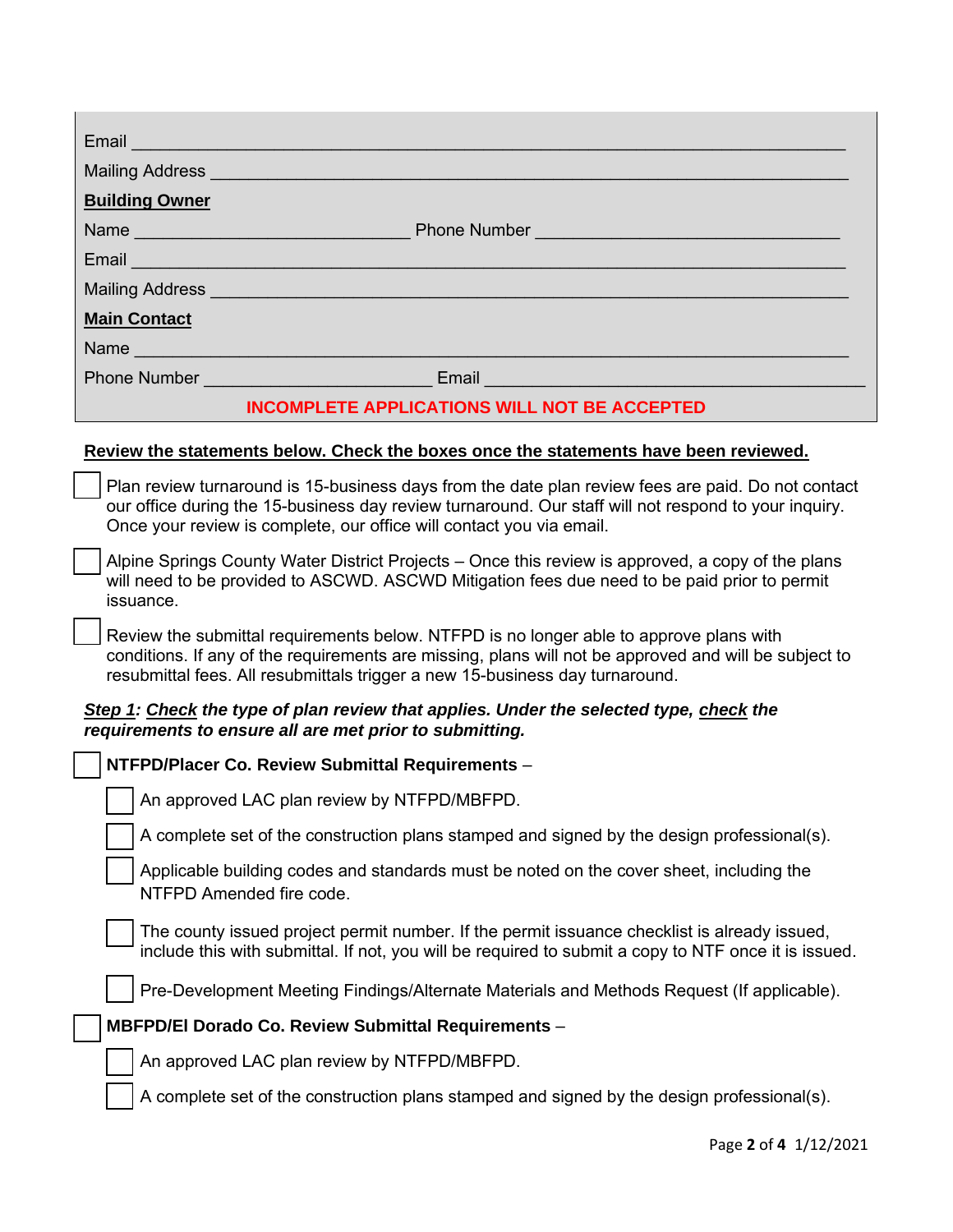| Email <b>Email</b>                                                                                                                                                                                                                                                                 |  |  |  |  |  |
|------------------------------------------------------------------------------------------------------------------------------------------------------------------------------------------------------------------------------------------------------------------------------------|--|--|--|--|--|
| Mailing Address National Address National Address National Address National Address                                                                                                                                                                                                |  |  |  |  |  |
| <b>Building Owner</b>                                                                                                                                                                                                                                                              |  |  |  |  |  |
|                                                                                                                                                                                                                                                                                    |  |  |  |  |  |
| Email and the contract of the contract of the contract of the contract of the contract of                                                                                                                                                                                          |  |  |  |  |  |
| Mailing Address and the control of the control of the control of the control of the control of the control of                                                                                                                                                                      |  |  |  |  |  |
| <b>Main Contact</b>                                                                                                                                                                                                                                                                |  |  |  |  |  |
|                                                                                                                                                                                                                                                                                    |  |  |  |  |  |
|                                                                                                                                                                                                                                                                                    |  |  |  |  |  |
| <b>INCOMPLETE APPLICATIONS WILL NOT BE ACCEPTED</b>                                                                                                                                                                                                                                |  |  |  |  |  |
| Review the statements below. Check the boxes once the statements have been reviewed.                                                                                                                                                                                               |  |  |  |  |  |
| Plan review turnaround is 15-business days from the date plan review fees are paid. Do not contact<br>our office during the 15-business day review turnaround. Our staff will not respond to your inquiry.<br>Once your review is complete, our office will contact you via email. |  |  |  |  |  |
| Alpine Springs County Water District Projects – Once this review is approved, a copy of the plans<br>will need to be provided to ASCWD. ASCWD Mitigation fees due need to be paid prior to permit<br>issuance.                                                                     |  |  |  |  |  |
| Review the submittal requirements below. NTFPD is no longer able to approve plans with<br>conditions. If any of the requirements are missing, plans will not be approved and will be subject to<br>resubmittal fees. All resubmittals trigger a new 15-business day turnaround.    |  |  |  |  |  |
| Step 1: Check the type of plan review that applies. Under the selected type, check the<br>requirements to ensure all are met prior to submitting.                                                                                                                                  |  |  |  |  |  |
| NTFPD/Placer Co. Review Submittal Requirements -                                                                                                                                                                                                                                   |  |  |  |  |  |
| An approved LAC plan review by NTFPD/MBFPD.                                                                                                                                                                                                                                        |  |  |  |  |  |
| A complete set of the construction plans stamped and signed by the design professional(s).                                                                                                                                                                                         |  |  |  |  |  |
| Applicable building codes and standards must be noted on the cover sheet, including the<br>NTFPD Amended fire code.                                                                                                                                                                |  |  |  |  |  |
| The county issued project permit number. If the permit issuance checklist is already issued,<br>include this with submittal. If not, you will be required to submit a copy to NTF once it is issued.                                                                               |  |  |  |  |  |
| Pre-Development Meeting Findings/Alternate Materials and Methods Request (If applicable).                                                                                                                                                                                          |  |  |  |  |  |
| MBFPD/El Dorado Co. Review Submittal Requirements -                                                                                                                                                                                                                                |  |  |  |  |  |
| An approved LAC plan review by NTFPD/MBFPD.                                                                                                                                                                                                                                        |  |  |  |  |  |
| A complete set of the construction plans stamped and signed by the design professional(s).                                                                                                                                                                                         |  |  |  |  |  |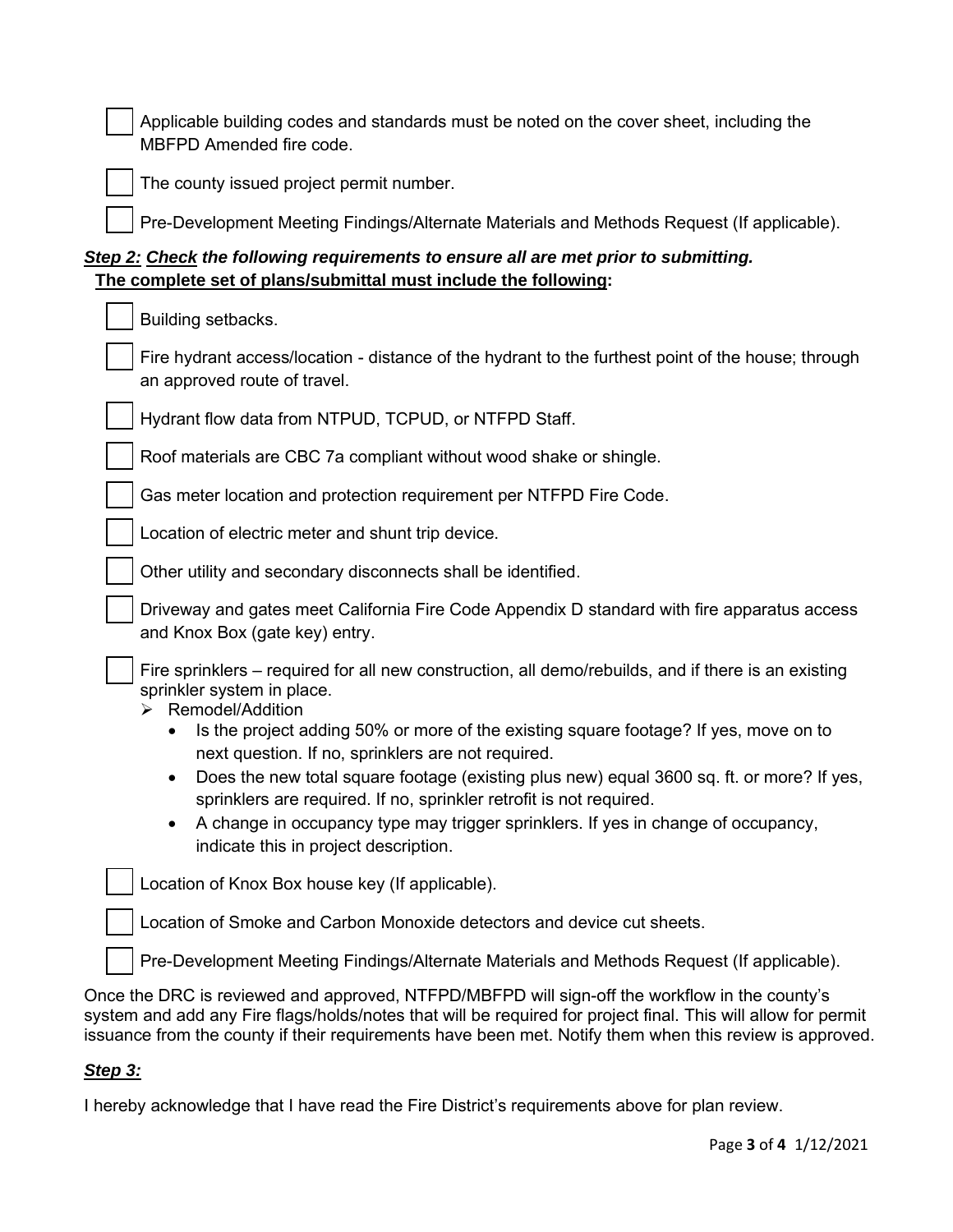Applicable building codes and standards must be noted on the cover sheet, including the MBFPD Amended fire code.



The county issued project permit number.

Pre-Development Meeting Findings/Alternate Materials and Methods Request (If applicable).

## *Step 2: Check the following requirements to ensure all are met prior to submitting.*  **The complete set of plans/submittal must include the following:**

| Building setbacks.                                                                                                                                                                                                                                                                                                                                                                                                                                                                                                                                                                                                                           |  |  |  |  |
|----------------------------------------------------------------------------------------------------------------------------------------------------------------------------------------------------------------------------------------------------------------------------------------------------------------------------------------------------------------------------------------------------------------------------------------------------------------------------------------------------------------------------------------------------------------------------------------------------------------------------------------------|--|--|--|--|
| Fire hydrant access/location - distance of the hydrant to the furthest point of the house; through<br>an approved route of travel.                                                                                                                                                                                                                                                                                                                                                                                                                                                                                                           |  |  |  |  |
| Hydrant flow data from NTPUD, TCPUD, or NTFPD Staff.                                                                                                                                                                                                                                                                                                                                                                                                                                                                                                                                                                                         |  |  |  |  |
| Roof materials are CBC 7a compliant without wood shake or shingle.                                                                                                                                                                                                                                                                                                                                                                                                                                                                                                                                                                           |  |  |  |  |
| Gas meter location and protection requirement per NTFPD Fire Code.                                                                                                                                                                                                                                                                                                                                                                                                                                                                                                                                                                           |  |  |  |  |
| Location of electric meter and shunt trip device.                                                                                                                                                                                                                                                                                                                                                                                                                                                                                                                                                                                            |  |  |  |  |
| Other utility and secondary disconnects shall be identified.                                                                                                                                                                                                                                                                                                                                                                                                                                                                                                                                                                                 |  |  |  |  |
| Driveway and gates meet California Fire Code Appendix D standard with fire apparatus access<br>and Knox Box (gate key) entry.                                                                                                                                                                                                                                                                                                                                                                                                                                                                                                                |  |  |  |  |
| Fire sprinklers – required for all new construction, all demo/rebuilds, and if there is an existing<br>sprinkler system in place.<br>Remodel/Addition<br>Is the project adding 50% or more of the existing square footage? If yes, move on to<br>$\bullet$<br>next question. If no, sprinklers are not required.<br>Does the new total square footage (existing plus new) equal 3600 sq. ft. or more? If yes,<br>$\bullet$<br>sprinklers are required. If no, sprinkler retrofit is not required.<br>A change in occupancy type may trigger sprinklers. If yes in change of occupancy,<br>$\bullet$<br>indicate this in project description. |  |  |  |  |
| Location of Knox Box house key (If applicable).                                                                                                                                                                                                                                                                                                                                                                                                                                                                                                                                                                                              |  |  |  |  |
| Location of Smoke and Carbon Monoxide detectors and device cut sheets.                                                                                                                                                                                                                                                                                                                                                                                                                                                                                                                                                                       |  |  |  |  |
| Pre-Development Meeting Findings/Alternate Materials and Methods Request (If applicable).                                                                                                                                                                                                                                                                                                                                                                                                                                                                                                                                                    |  |  |  |  |
| nce the DRC is reviewed and approved. NTFPD/MBFPD will sign-off the workflow in the county's                                                                                                                                                                                                                                                                                                                                                                                                                                                                                                                                                 |  |  |  |  |

Once the DRC is reviewed and approved, NTFPD/MBFPD will sign-off the workflow in the county's system and add any Fire flags/holds/notes that will be required for project final. This will allow for permit issuance from the county if their requirements have been met. Notify them when this review is approved.

## *Step 3:*

I hereby acknowledge that I have read the Fire District's requirements above for plan review.